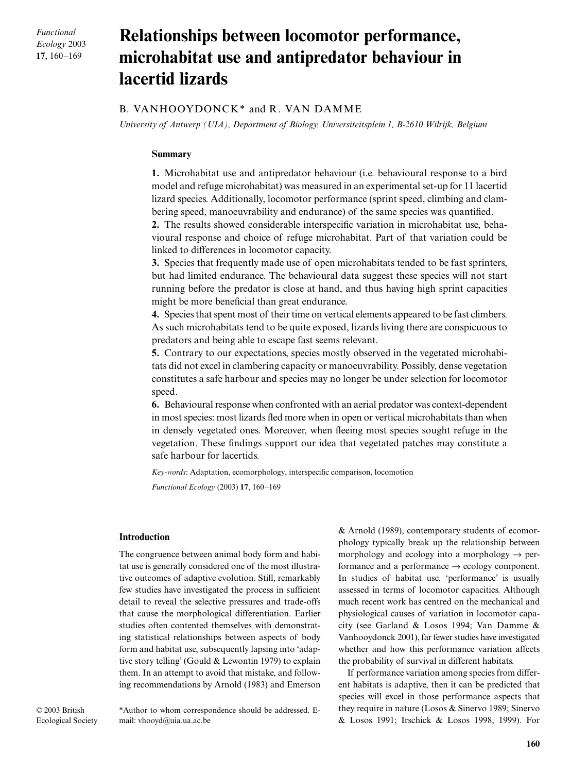*Functional Ecology* 2003 **17**, 160–169

# **Relationships between locomotor performance, microhabitat use and antipredator behaviour in lacertid lizards**

# B. VANHOOYDONCK\* and R. VAN DAMME

*University of Antwerp (UIA), Department of Biology, Universiteitsplein 1, B-2610 Wilrijk, Belgium* 

## **Summary**

**1.** Microhabitat use and antipredator behaviour (i.e. behavioural response to a bird model and refuge microhabitat) was measured in an experimental set-up for 11 lacertid lizard species. Additionally, locomotor performance (sprint speed, climbing and clambering speed, manoeuvrability and endurance) of the same species was quantified.

**2.** The results showed considerable interspecific variation in microhabitat use, behavioural response and choice of refuge microhabitat. Part of that variation could be linked to differences in locomotor capacity.

**3.** Species that frequently made use of open microhabitats tended to be fast sprinters, but had limited endurance. The behavioural data suggest these species will not start running before the predator is close at hand, and thus having high sprint capacities might be more beneficial than great endurance.

**4.** Species that spent most of their time on vertical elements appeared to be fast climbers. As such microhabitats tend to be quite exposed, lizards living there are conspicuous to predators and being able to escape fast seems relevant.

**5.** Contrary to our expectations, species mostly observed in the vegetated microhabitats did not excel in clambering capacity or manoeuvrability. Possibly, dense vegetation constitutes a safe harbour and species may no longer be under selection for locomotor speed.

**6.** Behavioural response when confronted with an aerial predator was context-dependent in most species: most lizards fled more when in open or vertical microhabitats than when in densely vegetated ones. Moreover, when fleeing most species sought refuge in the vegetation. These findings support our idea that vegetated patches may constitute a safe harbour for lacertids.

*Key-words*: Adaptation, ecomorphology, interspecific comparison, locomotion

*Functional Ecology* (2003) **17**, 160–169

## **Introduction**

The congruence between animal body form and habitat use is generally considered one of the most illustrative outcomes of adaptive evolution. Still, remarkably few studies have investigated the process in sufficient detail to reveal the selective pressures and trade-offs that cause the morphological differentiation. Earlier studies often contented themselves with demonstrating statistical relationships between aspects of body form and habitat use, subsequently lapsing into 'adaptive story telling' (Gould & Lewontin 1979) to explain them. In an attempt to avoid that mistake, and following recommendations by Arnold (1983) and Emerson

& Arnold (1989), contemporary students of ecomorphology typically break up the relationship between morphology and ecology into a morphology  $\rightarrow$  performance and a performance  $\rightarrow$  ecology component. In studies of habitat use, 'performance' is usually assessed in terms of locomotor capacities. Although much recent work has centred on the mechanical and physiological causes of variation in locomotor capacity (see Garland & Losos 1994; Van Damme & Vanhooydonck 2001), far fewer studies have investigated whether and how this performance variation affects the probability of survival in different habitats.

If performance variation among species from different habitats is adaptive, then it can be predicted that species will excel in those performance aspects that they require in nature (Losos & Sinervo 1989; Sinervo & Losos 1991; Irschick & Losos 1998, 1999). For

\*Author to whom correspondence should be addressed. Email: vhooyd@uia.ua.ac.be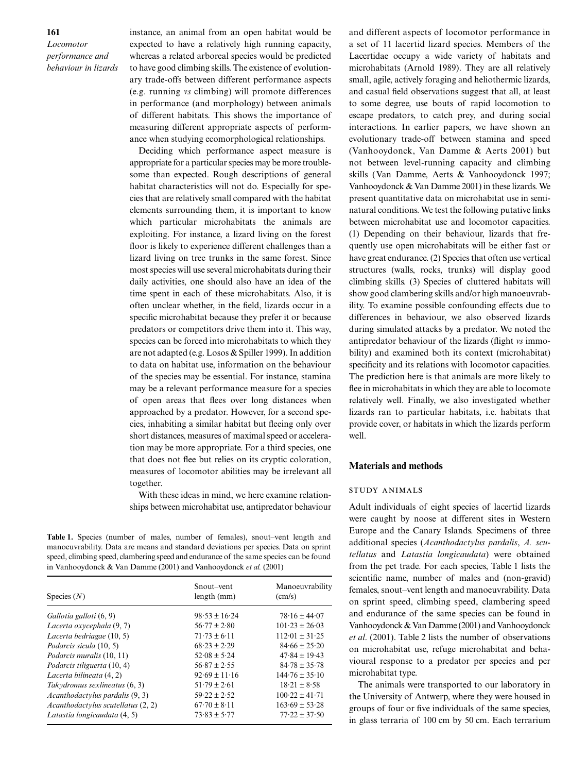**161** *Locomotor performance and behaviour in lizards* instance, an animal from an open habitat would be expected to have a relatively high running capacity, whereas a related arboreal species would be predicted to have good climbing skills. The existence of evolutionary trade-offs between different performance aspects (e.g. running *vs* climbing) will promote differences in performance (and morphology) between animals of different habitats. This shows the importance of measuring different appropriate aspects of performance when studying ecomorphological relationships.

Deciding which performance aspect measure is appropriate for a particular species may be more troublesome than expected. Rough descriptions of general habitat characteristics will not do. Especially for species that are relatively small compared with the habitat elements surrounding them, it is important to know which particular microhabitats the animals are exploiting. For instance, a lizard living on the forest floor is likely to experience different challenges than a lizard living on tree trunks in the same forest. Since most species will use several microhabitats during their daily activities, one should also have an idea of the time spent in each of these microhabitats. Also, it is often unclear whether, in the field, lizards occur in a specific microhabitat because they prefer it or because predators or competitors drive them into it. This way, species can be forced into microhabitats to which they are not adapted (e.g. Losos & Spiller 1999). In addition to data on habitat use, information on the behaviour of the species may be essential. For instance, stamina may be a relevant performance measure for a species of open areas that flees over long distances when approached by a predator. However, for a second species, inhabiting a similar habitat but fleeing only over short distances, measures of maximal speed or acceleration may be more appropriate. For a third species, one that does not flee but relies on its cryptic coloration, measures of locomotor abilities may be irrelevant all together.

With these ideas in mind, we here examine relationships between microhabitat use, antipredator behaviour

Table 1. Species (number of males, number of females), snout-vent length and manoeuvrability. Data are means and standard deviations per species. Data on sprint speed, climbing speed, clambering speed and endurance of the same species can be found in Vanhooydonck & Van Damme (2001) and Vanhooydonck *et al.* (2001)

| Species $(N)$                      | Snout–vent<br>length (mm) | Manoeuvrability<br>$\text{cm/s}$ ) |  |  |
|------------------------------------|---------------------------|------------------------------------|--|--|
| Gallotia galloti (6, 9)            | $98.53 \pm 16.24$         | $78.16 \pm 44.07$                  |  |  |
| Lacerta oxycephala (9, 7)          | $56.77 \pm 2.80$          | $101.23 \pm 26.03$                 |  |  |
| Lacerta bedriagae (10, 5)          | $71.73 \pm 6.11$          | $112.01 \pm 31.25$                 |  |  |
| Podarcis sicula (10, 5)            | $68.23 \pm 2.29$          | $84.66 \pm 25.20$                  |  |  |
| Podarcis muralis (10, 11)          | $52.08 \pm 5.24$          | $47.84 \pm 19.43$                  |  |  |
| Podarcis tiliguerta (10, 4)        | $56.87 \pm 2.55$          | $84.78 \pm 35.78$                  |  |  |
| Lacerta bilineata (4, 2)           | $92.69 \pm 11.16$         | $144.76 \pm 35.10$                 |  |  |
| Takydromus sexlineatus (6, 3)      | $51.79 \pm 2.61$          | $18.21 \pm 8.58$                   |  |  |
| Acanthodactylus pardalis (9, 3)    | $59.22 \pm 2.52$          | $100.22 \pm 41.71$                 |  |  |
| Acanthodactylus scutellatus (2, 2) | $67.70 \pm 8.11$          | $163.69 \pm 53.28$                 |  |  |
| Latastia longicaudata (4, 5)       | $73.83 \pm 5.77$          | $77.22 \pm 37.50$                  |  |  |

and different aspects of locomotor performance in a set of 11 lacertid lizard species. Members of the Lacertidae occupy a wide variety of habitats and microhabitats (Arnold 1989). They are all relatively small, agile, actively foraging and heliothermic lizards, and casual field observations suggest that all, at least to some degree, use bouts of rapid locomotion to escape predators, to catch prey, and during social interactions. In earlier papers, we have shown an evolutionary trade-off between stamina and speed (Vanhooydonck, Van Damme & Aerts 2001) but not between level-running capacity and climbing skills (Van Damme, Aerts & Vanhooydonck 1997; Vanhooydonck & Van Damme 2001) in these lizards. We present quantitative data on microhabitat use in seminatural conditions. We test the following putative links between microhabitat use and locomotor capacities. (1) Depending on their behaviour, lizards that frequently use open microhabitats will be either fast or have great endurance. (2) Species that often use vertical structures (walls, rocks, trunks) will display good climbing skills. (3) Species of cluttered habitats will show good clambering skills and/or high manoeuvrability. To examine possible confounding effects due to differences in behaviour, we also observed lizards during simulated attacks by a predator. We noted the antipredator behaviour of the lizards (flight *vs* immobility) and examined both its context (microhabitat) specificity and its relations with locomotor capacities. The prediction here is that animals are more likely to flee in microhabitats in which they are able to locomote relatively well. Finally, we also investigated whether lizards ran to particular habitats, i.e. habitats that provide cover, or habitats in which the lizards perform well.

#### **Materials and methods**

#### STUDY ANIMALS

Adult individuals of eight species of lacertid lizards were caught by noose at different sites in Western Europe and the Canary Islands. Specimens of three additional species (*Acanthodactylus pardalis*, *A. scutellatus* and *Latastia longicaudata*) were obtained from the pet trade. For each species, Table 1 lists the scientific name, number of males and (non-gravid) females, snout–vent length and manoeuvrability. Data on sprint speed, climbing speed, clambering speed and endurance of the same species can be found in Vanhooydonck & Van Damme (2001) and Vanhooydonck *et al*. (2001). Table 2 lists the number of observations on microhabitat use, refuge microhabitat and behavioural response to a predator per species and per microhabitat type.

The animals were transported to our laboratory in the University of Antwerp, where they were housed in groups of four or five individuals of the same species, in glass terraria of 100 cm by 50 cm. Each terrarium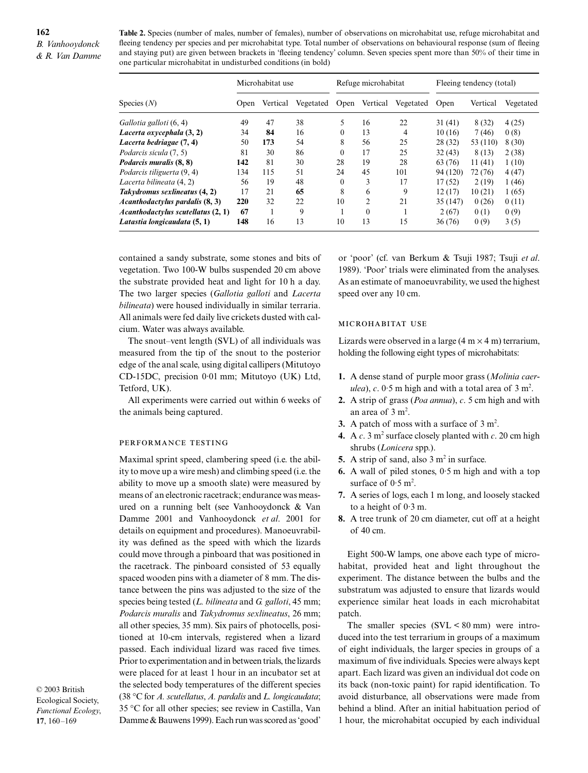**Table 2.** Species (number of males, number of females), number of observations on microhabitat use, refuge microhabitat and fleeing tendency per species and per microhabitat type. Total number of observations on behavioural response (sum of fleeing and staying put) are given between brackets in 'fleeing tendency' column. Seven species spent more than 50% of their time in one particular microhabitat in undisturbed conditions (in bold)

|                                         | Microhabitat use |          |           | Refuge microhabitat |                |           | Fleeing tendency (total) |          |           |
|-----------------------------------------|------------------|----------|-----------|---------------------|----------------|-----------|--------------------------|----------|-----------|
| Species $(N)$                           | Open             | Vertical | Vegetated | Open                | Vertical       | Vegetated | Open                     | Vertical | Vegetated |
| Gallotia galloti (6, 4)                 | 49               | 47       | 38        | 5.                  | 16             | 22        | 31(41)                   | 8 (32)   | 4(25)     |
| Lacerta oxycephala (3, 2)               | 34               | 84       | 16        | $\theta$            | 13             | 4         | 10(16)                   | 7(46)    | 0(8)      |
| Lacerta bedriagae (7, 4)                | 50               | 173      | 54        | 8                   | 56             | 25        | 28(32)                   | 53 (110) | 8(30)     |
| <i>Podarcis sicula</i> (7, 5)           | 81               | 30       | 86        | $\theta$            | 17             | 25        | 32(43)                   | 8 (13)   | 2(38)     |
| <i>Podarcis muralis</i> (8, 8)          | 142              | 81       | 30        | 28                  | 19             | 28        | 63 (76)                  | 11(41)   | 1(10)     |
| <i>Podarcis tiliguerta</i> (9, 4)       | 134              | 115      | 51        | 24                  | 45             | 101       | 94 (120)                 | 72 (76)  | 4(47)     |
| Lacerta bilineata (4, 2)                | 56               | 19       | 48        | $\theta$            | 3              | 17        | 17(52)                   | 2(19)    | 1(46)     |
| Takydromus sexlineatus (4, 2)           | 17               | 21       | 65        | 8                   | 6              | 9         | 12(17)                   | 10(21)   | 1(65)     |
| Acanthodactylus pardalis (8, 3)         | 220              | 32       | 22        | 10                  | $\overline{2}$ | 21        | 35(147)                  | 0(26)    | 0(11)     |
| $A$ canthodactylus scutellatus $(2, 1)$ | 67               | 1        | 9         |                     | $\theta$       |           | 2(67)                    | 0(1)     | 0(9)      |
| Latastia longicaudata (5, 1)            | 148              | 16       | 13        | 10                  | 13             | 15        | 36(76)                   | 0(9)     | 3(5)      |

contained a sandy substrate, some stones and bits of vegetation. Two 100-W bulbs suspended 20 cm above the substrate provided heat and light for 10 h a day. The two larger species (*Gallotia galloti* and *Lacerta bilineata*) were housed individually in similar terraria. All animals were fed daily live crickets dusted with calcium. Water was always available.

The snout–vent length (SVL) of all individuals was measured from the tip of the snout to the posterior edge of the anal scale, using digital callipers (Mitutoyo CD-15DC, precision 0·01 mm; Mitutoyo (UK) Ltd, Tetford, UK).

All experiments were carried out within 6 weeks of the animals being captured.

#### PERFORMANCE TESTING

Maximal sprint speed, clambering speed (i.e. the ability to move up a wire mesh) and climbing speed (i.e. the ability to move up a smooth slate) were measured by means of an electronic racetrack; endurance was measured on a running belt (see Vanhooydonck & Van Damme 2001 and Vanhooydonck *et al*. 2001 for details on equipment and procedures). Manoeuvrability was defined as the speed with which the lizards could move through a pinboard that was positioned in the racetrack. The pinboard consisted of 53 equally spaced wooden pins with a diameter of 8 mm. The distance between the pins was adjusted to the size of the species being tested (*L. bilineata* and *G. galloti*, 45 mm; *Podarcis muralis* and *Takydromus sexlineatus*, 26 mm; all other species, 35 mm). Six pairs of photocells, positioned at 10-cm intervals, registered when a lizard passed. Each individual lizard was raced five times. Prior to experimentation and in between trials, the lizards were placed for at least 1 hour in an incubator set at the selected body temperatures of the different species (38 °C for *A. scutellatus*, *A. pardalis* and *L. longicaudata*; 35 °C for all other species; see review in Castilla, Van Damme & Bauwens 1999). Each run was scored as 'good'

© 2003 British Ecological Society, *Functional Ecology*, **17**, 160–169

or 'poor' (cf. van Berkum & Tsuji 1987; Tsuji *et al*. 1989). 'Poor' trials were eliminated from the analyses. As an estimate of manoeuvrability, we used the highest speed over any 10 cm.

#### MICROHABITAT USE

Lizards were observed in a large  $(4 \text{ m} \times 4 \text{ m})$  terrarium, holding the following eight types of microhabitats:

- **1.** A dense stand of purple moor grass (*Molinia caer* $ulea)$ , *c*. 0.5 m high and with a total area of 3 m<sup>2</sup>.
- **2.** A strip of grass (*Poa annua*), *c*. 5 cm high and with an area of  $3 \text{ m}^2$ .
- **3.** A patch of moss with a surface of  $3 \text{ m}^2$ .
- **4.** A  $c$ . 3 m<sup>2</sup> surface closely planted with  $c$ . 20 cm high shrubs (*Lonicera* spp.).
- **5.** A strip of sand, also  $3 \text{ m}^2$  in surface.
- **6.** A wall of piled stones, 0·5 m high and with a top surface of  $0.5 \text{ m}^2$ .
- **7.** A series of logs, each 1 m long, and loosely stacked to a height of 0·3 m.
- **8.** A tree trunk of 20 cm diameter, cut off at a height of 40 cm.

Eight 500-W lamps, one above each type of microhabitat, provided heat and light throughout the experiment. The distance between the bulbs and the substratum was adjusted to ensure that lizards would experience similar heat loads in each microhabitat patch.

The smaller species  $(SVL < 80$  mm) were introduced into the test terrarium in groups of a maximum of eight individuals, the larger species in groups of a maximum of five individuals. Species were always kept apart. Each lizard was given an individual dot code on its back (non-toxic paint) for rapid identification. To avoid disturbance, all observations were made from behind a blind. After an initial habituation period of 1 hour, the microhabitat occupied by each individual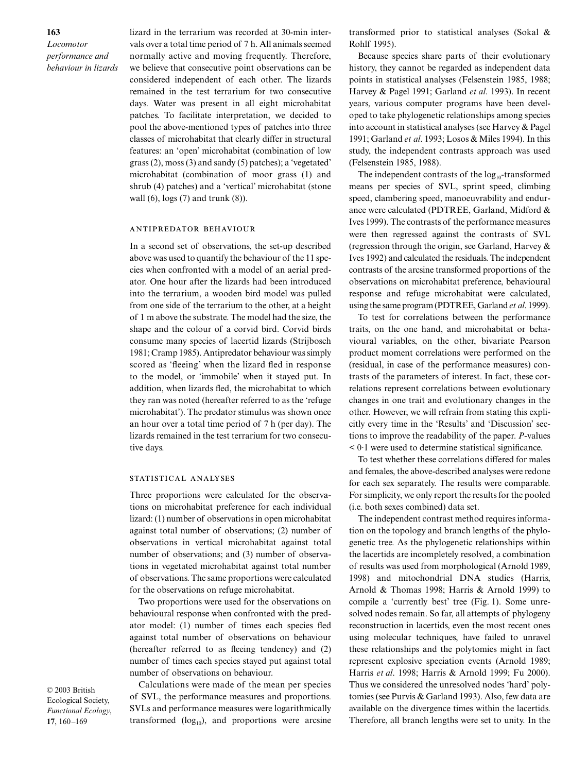*Locomotor performance and behaviour in lizards*

**163**

lizard in the terrarium was recorded at 30-min intervals over a total time period of 7 h. All animals seemed normally active and moving frequently. Therefore, we believe that consecutive point observations can be considered independent of each other. The lizards remained in the test terrarium for two consecutive days. Water was present in all eight microhabitat patches. To facilitate interpretation, we decided to pool the above-mentioned types of patches into three classes of microhabitat that clearly differ in structural features: an 'open' microhabitat (combination of low grass (2), moss (3) and sandy (5) patches); a 'vegetated' microhabitat (combination of moor grass (1) and shrub (4) patches) and a 'vertical' microhabitat (stone wall (6), logs (7) and trunk (8)).

#### **ANTIPREDATOR BEHAVIOUR**

In a second set of observations, the set-up described above was used to quantify the behaviour of the 11 species when confronted with a model of an aerial predator. One hour after the lizards had been introduced into the terrarium, a wooden bird model was pulled from one side of the terrarium to the other, at a height of 1 m above the substrate. The model had the size, the shape and the colour of a corvid bird. Corvid birds consume many species of lacertid lizards (Strijbosch 1981; Cramp 1985). Antipredator behaviour was simply scored as 'fleeing' when the lizard fled in response to the model, or 'immobile' when it stayed put. In addition, when lizards fled, the microhabitat to which they ran was noted (hereafter referred to as the 'refuge microhabitat'). The predator stimulus was shown once an hour over a total time period of 7 h (per day). The lizards remained in the test terrarium for two consecutive days.

#### STATISTICAL ANALYSES

Three proportions were calculated for the observations on microhabitat preference for each individual lizard: (1) number of observations in open microhabitat against total number of observations; (2) number of observations in vertical microhabitat against total number of observations; and (3) number of observations in vegetated microhabitat against total number of observations. The same proportions were calculated for the observations on refuge microhabitat.

Two proportions were used for the observations on behavioural response when confronted with the predator model: (1) number of times each species fled against total number of observations on behaviour (hereafter referred to as fleeing tendency) and (2) number of times each species stayed put against total number of observations on behaviour.

© 2003 British Ecological Society, *Functional Ecology*, **17**, 160–169

Calculations were made of the mean per species of SVL, the performance measures and proportions. SVLs and performance measures were logarithmically transformed  $(log_{10})$ , and proportions were arcsine

transformed prior to statistical analyses (Sokal & Rohlf 1995).

Because species share parts of their evolutionary history, they cannot be regarded as independent data points in statistical analyses (Felsenstein 1985, 1988; Harvey & Pagel 1991; Garland *et al*. 1993). In recent years, various computer programs have been developed to take phylogenetic relationships among species into account in statistical analyses (see Harvey & Pagel 1991; Garland *et al*. 1993; Losos & Miles 1994). In this study, the independent contrasts approach was used (Felsenstein 1985, 1988).

The independent contrasts of the  $log_{10}$ -transformed means per species of SVL, sprint speed, climbing speed, clambering speed, manoeuvrability and endurance were calculated (PDTREE, Garland, Midford & Ives 1999). The contrasts of the performance measures were then regressed against the contrasts of SVL (regression through the origin, see Garland, Harvey & Ives 1992) and calculated the residuals. The independent contrasts of the arcsine transformed proportions of the observations on microhabitat preference, behavioural response and refuge microhabitat were calculated, using the same program (PDTREE, Garland *et al*. 1999).

To test for correlations between the performance traits, on the one hand, and microhabitat or behavioural variables, on the other, bivariate Pearson product moment correlations were performed on the (residual, in case of the performance measures) contrasts of the parameters of interest. In fact, these correlations represent correlations between evolutionary changes in one trait and evolutionary changes in the other. However, we will refrain from stating this explicitly every time in the 'Results' and 'Discussion' sections to improve the readability of the paper. *P*-values  $\leq 0.1$  were used to determine statistical significance.

To test whether these correlations differed for males and females, the above-described analyses were redone for each sex separately. The results were comparable. For simplicity, we only report the results for the pooled (i.e. both sexes combined) data set.

The independent contrast method requires information on the topology and branch lengths of the phylogenetic tree. As the phylogenetic relationships within the lacertids are incompletely resolved, a combination of results was used from morphological (Arnold 1989, 1998) and mitochondrial DNA studies (Harris, Arnold & Thomas 1998; Harris & Arnold 1999) to compile a 'currently best' tree (Fig. 1). Some unresolved nodes remain. So far, all attempts of phylogeny reconstruction in lacertids, even the most recent ones using molecular techniques, have failed to unravel these relationships and the polytomies might in fact represent explosive speciation events (Arnold 1989; Harris *et al*. 1998; Harris & Arnold 1999; Fu 2000). Thus we considered the unresolved nodes 'hard' polytomies (see Purvis & Garland 1993). Also, few data are available on the divergence times within the lacertids. Therefore, all branch lengths were set to unity. In the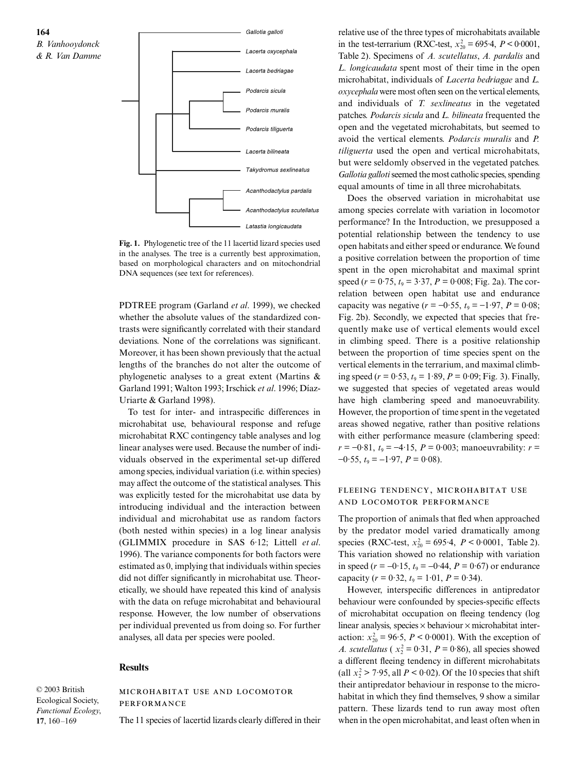**164** *B. Vanhooydonck & R. Van Damme*



**Fig. 1.** Phylogenetic tree of the 11 lacertid lizard species used in the analyses. The tree is a currently best approximation, based on morphological characters and on mitochondrial DNA sequences (see text for references).

PDTREE program (Garland *et al*. 1999), we checked whether the absolute values of the standardized contrasts were significantly correlated with their standard deviations. None of the correlations was significant. Moreover, it has been shown previously that the actual lengths of the branches do not alter the outcome of phylogenetic analyses to a great extent (Martins & Garland 1991; Walton 1993; Irschick *et al*. 1996; Díaz-Uriarte & Garland 1998).

To test for inter- and intraspecific differences in microhabitat use, behavioural response and refuge microhabitat RXC contingency table analyses and log linear analyses were used. Because the number of individuals observed in the experimental set-up differed among species, individual variation (i.e. within species) may affect the outcome of the statistical analyses. This was explicitly tested for the microhabitat use data by introducing individual and the interaction between individual and microhabitat use as random factors (both nested within species) in a log linear analysis (GLIMMIX procedure in SAS 6·12; Littell *et al*. 1996). The variance components for both factors were estimated as 0, implying that individuals within species did not differ significantly in microhabitat use. Theoretically, we should have repeated this kind of analysis with the data on refuge microhabitat and behavioural response. However, the low number of observations per individual prevented us from doing so. For further analyses, all data per species were pooled.

#### **Results**

© 2003 British Ecological Society, *Functional Ecology*, **17**, 160–169

# MICROHABITAT USE AND LOCOMOTOR PERFORMANCE

The 11 species of lacertid lizards clearly differed in their

relative use of the three types of microhabitats available in the test-terrarium (RXC-test,  $x_{20}^2 = 695.4$ ,  $P < 0.0001$ , Table 2). Specimens of *A. scutellatus*, *A. pardalis* and *L. longicaudata* spent most of their time in the open microhabitat, individuals of *Lacerta bedriagae* and *L. oxycephala* were most often seen on the vertical elements, and individuals of *T. sexlineatus* in the vegetated patches. *Podarcis sicula* and *L. bilineata* frequented the open and the vegetated microhabitats, but seemed to avoid the vertical elements. *Podarcis muralis* and *P. tiliguerta* used the open and vertical microhabitats, but were seldomly observed in the vegetated patches. *Gallotia galloti*seemed the most catholic species, spending equal amounts of time in all three microhabitats.

Does the observed variation in microhabitat use among species correlate with variation in locomotor performance? In the Introduction, we presupposed a potential relationship between the tendency to use open habitats and either speed or endurance. We found a positive correlation between the proportion of time spent in the open microhabitat and maximal sprint speed ( $r = 0.75$ ,  $t<sub>9</sub> = 3.37$ ,  $P = 0.008$ ; Fig. 2a). The correlation between open habitat use and endurance capacity was negative ( $r = -0.55$ ,  $t<sub>9</sub> = -1.97$ ,  $P = 0.08$ ; Fig. 2b). Secondly, we expected that species that frequently make use of vertical elements would excel in climbing speed. There is a positive relationship between the proportion of time species spent on the vertical elements in the terrarium, and maximal climbing speed ( $r = 0.53$ ,  $t<sub>9</sub> = 1.89$ ,  $P = 0.09$ ; Fig. 3). Finally, we suggested that species of vegetated areas would have high clambering speed and manoeuvrability. However, the proportion of time spent in the vegetated areas showed negative, rather than positive relations with either performance measure (clambering speed:  $r = -0.81$ ,  $t<sub>9</sub> = -4.15$ ,  $P = 0.003$ ; manoeuvrability:  $r =$  $-0.55$ ,  $t_9 = -1.97$ ,  $P = 0.08$ ).

# FLEEING TENDENCY, MICROHABITAT USE AND LOCOMOTOR PERFORMANCE

The proportion of animals that fled when approached by the predator model varied dramatically among species (RXC-test,  $x_{20}^2 = 695.4$ ,  $P < 0.0001$ , Table 2). This variation showed no relationship with variation in speed ( $r = -0.15$ ,  $t<sub>9</sub> = -0.44$ ,  $P = 0.67$ ) or endurance capacity ( $r = 0.32$ ,  $t<sub>9</sub> = 1.01$ ,  $P = 0.34$ ).

However, interspecific differences in antipredator behaviour were confounded by species-specific effects of microhabitat occupation on fleeing tendency (log linear analysis, species  $\times$  behaviour  $\times$  microhabitat interaction:  $x_{20}^2 = 96.5$ ,  $P < 0.0001$ ). With the exception of *A. scutellatus* ( $x_2^2 = 0.31$ ,  $P = 0.86$ ), all species showed a different fleeing tendency in different microhabitats (all  $x_2^2 > 7.95$ , all  $P < 0.02$ ). Of the 10 species that shift their antipredator behaviour in response to the microhabitat in which they find themselves, 9 show a similar pattern. These lizards tend to run away most often when in the open microhabitat, and least often when in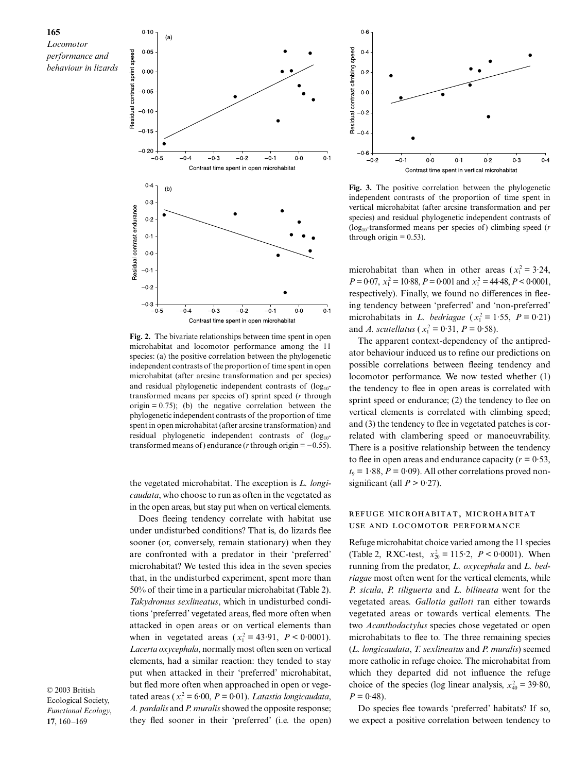

**Fig. 2.** The bivariate relationships between time spent in open microhabitat and locomotor performance among the 11 species: (a) the positive correlation between the phylogenetic independent contrasts of the proportion of time spent in open microhabitat (after arcsine transformation and per species) and residual phylogenetic independent contrasts of  $(log_{10}$ transformed means per species of) sprint speed (*r* through origin  $= 0.75$ ; (b) the negative correlation between the phylogenetic independent contrasts of the proportion of time spent in open microhabitat (after arcsine transformation) and residual phylogenetic independent contrasts of  $(log_{10}$ transformed means of) endurance (*r*through origin = −0.55).

the vegetated microhabitat. The exception is *L. longicaudata*, who choose to run as often in the vegetated as in the open areas, but stay put when on vertical elements.

Does fleeing tendency correlate with habitat use under undisturbed conditions? That is, do lizards flee sooner (or, conversely, remain stationary) when they are confronted with a predator in their 'preferred' microhabitat? We tested this idea in the seven species that, in the undisturbed experiment, spent more than 50% of their time in a particular microhabitat (Table 2). *Takydromus sexlineatus*, which in undisturbed conditions 'preferred' vegetated areas, fled more often when attacked in open areas or on vertical elements than when in vegetated areas  $(x_1^2 = 43.91, P < 0.0001)$ . *Lacerta oxycephala*, normally most often seen on vertical elements, had a similar reaction: they tended to stay put when attacked in their 'preferred' microhabitat, but fled more often when approached in open or vegetated areas ( $x_1^2 = 6.00$ ,  $P = 0.01$ ). *Latastia longicaudata*, *A. pardalis* and *P. muralis*showed the opposite response; they fled sooner in their 'preferred' (i.e. the open)

© 2003 British Ecological Society, *Functional Ecology*, **17**, 160–169



**Fig. 3.** The positive correlation between the phylogenetic independent contrasts of the proportion of time spent in vertical microhabitat (after arcsine transformation and per species) and residual phylogenetic independent contrasts of (log10-transformed means per species of) climbing speed (*r* through origin  $= 0.53$ ).

microhabitat than when in other areas  $(x_1^2 = 3.24,$  $P = 0.07$ ,  $x_1^2 = 10.88$ ,  $P = 0.001$  and  $x_1^2 = 44.48$ ,  $P < 0.0001$ , respectively). Finally, we found no differences in fleeing tendency between 'preferred' and 'non-preferred' microhabitats in *L. bedriagae* ( $x_1^2 = 1.55$ ,  $P = 0.21$ ) and *A. scutellatus* ( $x_1^2 = 0.31$ ,  $P = 0.58$ ).

The apparent context-dependency of the antipredator behaviour induced us to refine our predictions on possible correlations between fleeing tendency and locomotor performance. We now tested whether (1) the tendency to flee in open areas is correlated with sprint speed or endurance; (2) the tendency to flee on vertical elements is correlated with climbing speed; and (3) the tendency to flee in vegetated patches is correlated with clambering speed or manoeuvrability. There is a positive relationship between the tendency to flee in open areas and endurance capacity  $(r = 0.53)$ ,  $t_9 = 1.88$ ,  $P = 0.09$ ). All other correlations proved nonsignificant (all  $P > 0.27$ ).

# REFUGE MICROHABITAT, MICROHABITAT USE AND LOCOMOTOR PERFORMANCE

Refuge microhabitat choice varied among the 11 species (Table 2, RXC-test,  $x_{20}^2 = 115.2$ ,  $P < 0.0001$ ). When running from the predator, *L. oxycephala* and *L. bedriagae* most often went for the vertical elements, while *P. sicula*, *P. tiliguerta* and *L. bilineata* went for the vegetated areas. *Gallotia galloti* ran either towards vegetated areas or towards vertical elements. The two *Acanthodactylus* species chose vegetated or open microhabitats to flee to. The three remaining species (*L. longicaudata*, *T. sexlineatus* and *P. muralis*) seemed more catholic in refuge choice. The microhabitat from which they departed did not influence the refuge choice of the species (log linear analysis,  $x_{40}^2 = 39.80$ ,  $P = 0.48$ .

Do species flee towards 'preferred' habitats? If so, we expect a positive correlation between tendency to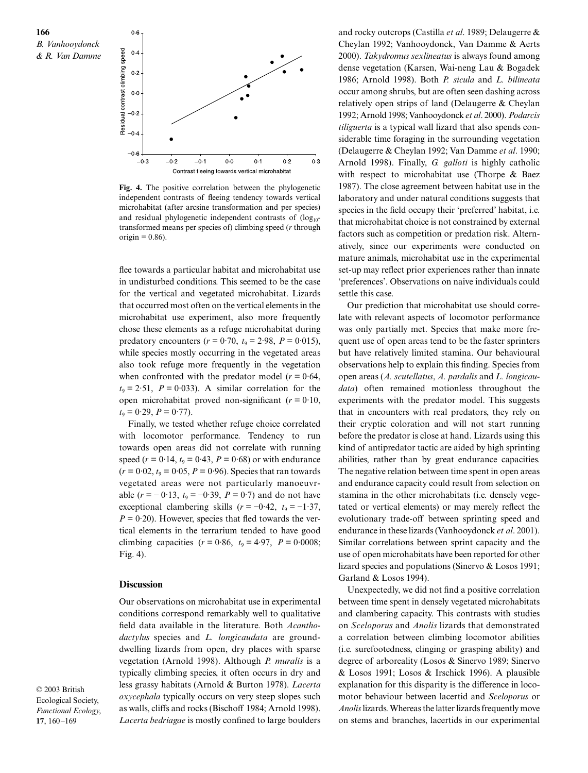

**Fig. 4.** The positive correlation between the phylogenetic independent contrasts of fleeing tendency towards vertical microhabitat (after arcsine transformation and per species) and residual phylogenetic independent contrasts of  $(log_{10}$ transformed means per species of) climbing speed (*r* through origin  $= 0.86$ ).

flee towards a particular habitat and microhabitat use in undisturbed conditions. This seemed to be the case for the vertical and vegetated microhabitat. Lizards that occurred most often on the vertical elements in the microhabitat use experiment, also more frequently chose these elements as a refuge microhabitat during predatory encounters  $(r = 0.70, t_9 = 2.98, P = 0.015)$ , while species mostly occurring in the vegetated areas also took refuge more frequently in the vegetation when confronted with the predator model ( $r = 0.64$ ,  $t_9 = 2.51$ ,  $P = 0.033$ ). A similar correlation for the open microhabitat proved non-significant  $(r = 0.10)$ ,  $t_{9} = 0.29, P = 0.77$ .

Finally, we tested whether refuge choice correlated with locomotor performance. Tendency to run towards open areas did not correlate with running speed ( $r = 0.14$ ,  $t_9 = 0.43$ ,  $P = 0.68$ ) or with endurance  $(r = 0.02, t_9 = 0.05, P = 0.96)$ . Species that ran towards vegetated areas were not particularly manoeuvrable ( $r = -0.13$ ,  $t_9 = -0.39$ ,  $P = 0.7$ ) and do not have exceptional clambering skills  $(r = -0.42, t_9 = -1.37,$  $P = 0.20$ ). However, species that fled towards the vertical elements in the terrarium tended to have good climbing capacities  $(r = 0.86, t_9 = 4.97, P = 0.0008;$ Fig. 4).

#### **Discussion**

Our observations on microhabitat use in experimental conditions correspond remarkably well to qualitative field data available in the literature. Both *Acanthodactylus* species and *L. longicaudata* are grounddwelling lizards from open, dry places with sparse vegetation (Arnold 1998). Although *P. muralis* is a typically climbing species, it often occurs in dry and less grassy habitats (Arnold & Burton 1978). *Lacerta oxycephala* typically occurs on very steep slopes such as walls, cliffs and rocks (Bischoff 1984; Arnold 1998). *Lacerta bedriagae* is mostly confined to large boulders

© 2003 British Ecological Society, *Functional Ecology*, **17**, 160–169

and rocky outcrops (Castilla *et al*. 1989; Delaugerre & Cheylan 1992; Vanhooydonck, Van Damme & Aerts 2000). *Takydromus sexlineatus* is always found among dense vegetation (Karsen, Wai-neng Lau & Bogadek 1986; Arnold 1998). Both *P. sicula* and *L. bilineata* occur among shrubs, but are often seen dashing across relatively open strips of land (Delaugerre & Cheylan 1992; Arnold 1998; Vanhooydonck *et al*. 2000). *Podarcis tiliguerta* is a typical wall lizard that also spends considerable time foraging in the surrounding vegetation (Delaugerre & Cheylan 1992; Van Damme *et al*. 1990; Arnold 1998). Finally, *G. galloti* is highly catholic with respect to microhabitat use (Thorpe & Baez 1987). The close agreement between habitat use in the laboratory and under natural conditions suggests that species in the field occupy their 'preferred' habitat, i.e. that microhabitat choice is not constrained by external factors such as competition or predation risk. Alternatively, since our experiments were conducted on mature animals, microhabitat use in the experimental set-up may reflect prior experiences rather than innate 'preferences'. Observations on naive individuals could settle this case.

Our prediction that microhabitat use should correlate with relevant aspects of locomotor performance was only partially met. Species that make more frequent use of open areas tend to be the faster sprinters but have relatively limited stamina. Our behavioural observations help to explain this finding. Species from open areas (*A. scutellatus*, *A. pardalis* and *L. longicaudata*) often remained motionless throughout the experiments with the predator model. This suggests that in encounters with real predators, they rely on their cryptic coloration and will not start running before the predator is close at hand. Lizards using this kind of antipredator tactic are aided by high sprinting abilities, rather than by great endurance capacities. The negative relation between time spent in open areas and endurance capacity could result from selection on stamina in the other microhabitats (i.e. densely vegetated or vertical elements) or may merely reflect the evolutionary trade-off between sprinting speed and endurance in these lizards (Vanhooydonck *et al*. 2001). Similar correlations between sprint capacity and the use of open microhabitats have been reported for other lizard species and populations (Sinervo & Losos 1991; Garland & Losos 1994).

Unexpectedly, we did not find a positive correlation between time spent in densely vegetated microhabitats and clambering capacity. This contrasts with studies on *Sceloporus* and *Anolis* lizards that demonstrated a correlation between climbing locomotor abilities (i.e. surefootedness, clinging or grasping ability) and degree of arboreality (Losos & Sinervo 1989; Sinervo & Losos 1991; Losos & Irschick 1996). A plausible explanation for this disparity is the difference in locomotor behaviour between lacertid and *Sceloporus* or *Anolis*lizards. Whereas the latter lizards frequently move on stems and branches, lacertids in our experimental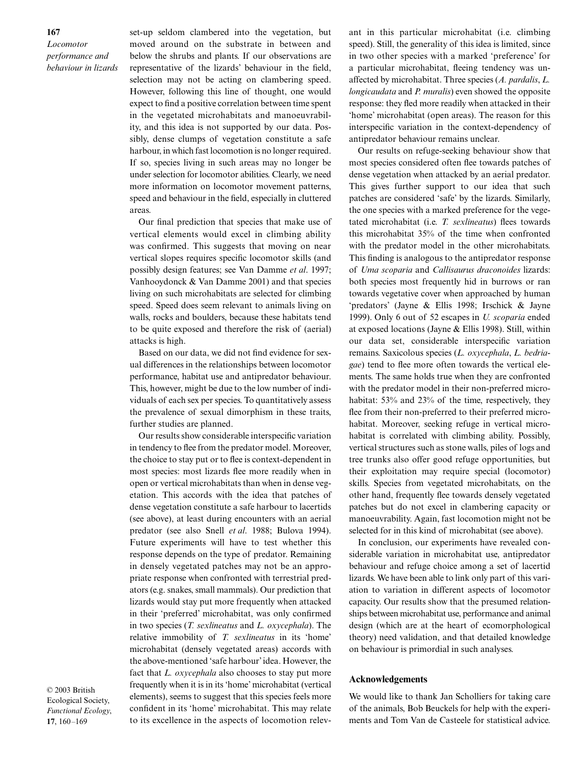*Locomotor performance and behaviour in lizards*

set-up seldom clambered into the vegetation, but moved around on the substrate in between and below the shrubs and plants. If our observations are representative of the lizards' behaviour in the field, selection may not be acting on clambering speed. However, following this line of thought, one would expect to find a positive correlation between time spent in the vegetated microhabitats and manoeuvrability, and this idea is not supported by our data. Possibly, dense clumps of vegetation constitute a safe harbour, in which fast locomotion is no longer required. If so, species living in such areas may no longer be under selection for locomotor abilities. Clearly, we need more information on locomotor movement patterns, speed and behaviour in the field, especially in cluttered areas.

Our final prediction that species that make use of vertical elements would excel in climbing ability was confirmed. This suggests that moving on near vertical slopes requires specific locomotor skills (and possibly design features; see Van Damme *et al*. 1997; Vanhooydonck & Van Damme 2001) and that species living on such microhabitats are selected for climbing speed. Speed does seem relevant to animals living on walls, rocks and boulders, because these habitats tend to be quite exposed and therefore the risk of (aerial) attacks is high.

Based on our data, we did not find evidence for sexual differences in the relationships between locomotor performance, habitat use and antipredator behaviour. This, however, might be due to the low number of individuals of each sex per species. To quantitatively assess the prevalence of sexual dimorphism in these traits, further studies are planned.

Our results show considerable interspecific variation in tendency to flee from the predator model. Moreover, the choice to stay put or to flee is context-dependent in most species: most lizards flee more readily when in open or vertical microhabitats than when in dense vegetation. This accords with the idea that patches of dense vegetation constitute a safe harbour to lacertids (see above), at least during encounters with an aerial predator (see also Snell *et al*. 1988; Bulova 1994). Future experiments will have to test whether this response depends on the type of predator. Remaining in densely vegetated patches may not be an appropriate response when confronted with terrestrial predators (e.g. snakes, small mammals). Our prediction that lizards would stay put more frequently when attacked in their 'preferred' microhabitat, was only confirmed in two species (*T. sexlineatus* and *L. oxycephala*). The relative immobility of *T. sexlineatus* in its 'home' microhabitat (densely vegetated areas) accords with the above-mentioned 'safe harbour' idea. However, the fact that *L. oxycephala* also chooses to stay put more frequently when it is in its 'home' microhabitat (vertical elements), seems to suggest that this species feels more confident in its 'home' microhabitat. This may relate to its excellence in the aspects of locomotion relev-

© 2003 British Ecological Society, *Functional Ecology*, **17**, 160–169

ant in this particular microhabitat (i.e. climbing speed). Still, the generality of this idea is limited, since in two other species with a marked 'preference' for a particular microhabitat, fleeing tendency was unaffected by microhabitat. Three species (*A. pardalis*, *L. longicaudata* and *P. muralis*) even showed the opposite response: they fled more readily when attacked in their 'home' microhabitat (open areas). The reason for this interspecific variation in the context-dependency of antipredator behaviour remains unclear.

Our results on refuge-seeking behaviour show that most species considered often flee towards patches of dense vegetation when attacked by an aerial predator. This gives further support to our idea that such patches are considered 'safe' by the lizards. Similarly, the one species with a marked preference for the vegetated microhabitat (i.e. *T. sexlineatus*) flees towards this microhabitat 35% of the time when confronted with the predator model in the other microhabitats. This finding is analogous to the antipredator response of *Uma scoparia* and *Callisaurus draconoides* lizards: both species most frequently hid in burrows or ran towards vegetative cover when approached by human 'predators' (Jayne & Ellis 1998; Irschick & Jayne 1999). Only 6 out of 52 escapes in *U. scoparia* ended at exposed locations (Jayne & Ellis 1998). Still, within our data set, considerable interspecific variation remains. Saxicolous species (*L. oxycephala*, *L. bedriagae*) tend to flee more often towards the vertical elements. The same holds true when they are confronted with the predator model in their non-preferred microhabitat: 53% and 23% of the time, respectively, they flee from their non-preferred to their preferred microhabitat. Moreover, seeking refuge in vertical microhabitat is correlated with climbing ability. Possibly, vertical structures such as stone walls, piles of logs and tree trunks also offer good refuge opportunities, but their exploitation may require special (locomotor) skills. Species from vegetated microhabitats, on the other hand, frequently flee towards densely vegetated patches but do not excel in clambering capacity or manoeuvrability. Again, fast locomotion might not be selected for in this kind of microhabitat (see above).

In conclusion, our experiments have revealed considerable variation in microhabitat use, antipredator behaviour and refuge choice among a set of lacertid lizards. We have been able to link only part of this variation to variation in different aspects of locomotor capacity. Our results show that the presumed relationships between microhabitat use, performance and animal design (which are at the heart of ecomorphological theory) need validation, and that detailed knowledge on behaviour is primordial in such analyses.

#### **Acknowledgements**

We would like to thank Jan Scholliers for taking care of the animals, Bob Beuckels for help with the experiments and Tom Van de Casteele for statistical advice.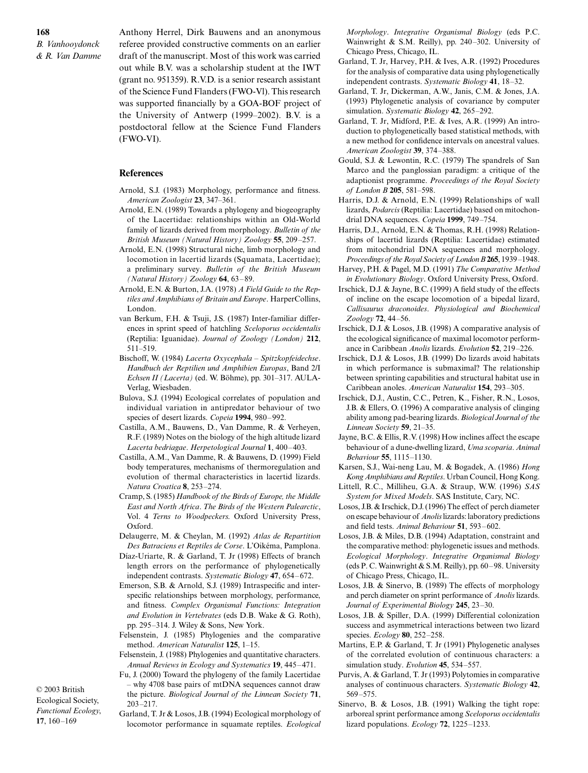Anthony Herrel, Dirk Bauwens and an anonymous referee provided constructive comments on an earlier draft of the manuscript. Most of this work was carried out while B.V. was a scholarship student at the IWT (grant no. 951359). R.V.D. is a senior research assistant of the Science Fund Flanders (FWO-Vl). This research was supported financially by a GOA-BOF project of the University of Antwerp (1999–2002). B.V. is a postdoctoral fellow at the Science Fund Flanders (FWO-VI).

## **References**

- Arnold, S.J. (1983) Morphology, performance and fitness. *American Zoologist* **23**, 347–361.
- Arnold, E.N. (1989) Towards a phylogeny and biogeography of the Lacertidae: relationships within an Old-World family of lizards derived from morphology. *Bulletin of the British Museum (Natural History) Zoology* **55**, 209–257.
- Arnold, E.N. (1998) Structural niche, limb morphology and locomotion in lacertid lizards (Squamata, Lacertidae); a preliminary survey. *Bulletin of the British Museum (Natural History) Zoology* **64**, 63–89.
- Arnold, E.N. & Burton, J.A. (1978) *A Field Guide to the Reptiles and Amphibians of Britain and Europe*. HarperCollins, London.
- van Berkum, F.H. & Tsuji, J.S. (1987) Inter-familiar differences in sprint speed of hatchling *Sceloporus occidentalis* (Reptilia: Iguanidae). *Journal of Zoology (London)* **212**, 511–519.
- Bischoff, W. (1984) *Lacerta Oxycephala Spitzkopfeidechse*. *Handbuch der Reptilien und Amphibien Europas*, Band 2/I *Echsen II (Lacerta)* (ed. W. Böhme), pp. 301–317. AULA-Verlag, Wiesbaden.
- Bulova, S.J. (1994) Ecological correlates of population and individual variation in antipredator behaviour of two species of desert lizards. *Copeia* **1994**, 980–992.
- Castilla, A.M., Bauwens, D., Van Damme, R. & Verheyen, R.F. (1989) Notes on the biology of the high altitude lizard *Lacerta bedriagae*. *Herpetological Journal* **1**, 400–403.
- Castilla, A.M., Van Damme, R. & Bauwens, D. (1999) Field body temperatures, mechanisms of thermoregulation and evolution of thermal characteristics in lacertid lizards. *Natura Croatica* **8**, 253–274.
- Cramp, S. (1985) *Handbook of the Birds of Europe, the Middle East and North Africa*. *The Birds of the Western Palearctic*, Vol. 4 *Terns to Woodpeckers*. Oxford University Press, Oxford.
- Delaugerre, M. & Cheylan, M. (1992) *Atlas de Repartition Des Batraciens et Reptiles de Corse*. L'Oikéma, Pamplona.
- Díaz-Uriarte, R. & Garland, T. Jr (1998) Effects of branch length errors on the performance of phylogenetically independent contrasts. *Systematic Biology* **47**, 654–672.
- Emerson, S.B. & Arnold, S.J. (1989) Intraspecific and interspecific relationships between morphology, performance, and fitness. *Complex Organismal Functions: Integration and Evolution in Vertebrates* (eds D.B. Wake & G. Roth), pp. 295–314. J. Wiley & Sons, New York.
- Felsenstein, J. (1985) Phylogenies and the comparative method. *American Naturalist* **125**, 1–15.
- Felsenstein, J. (1988) Phylogenies and quantitative characters. *Annual Reviews in Ecology and Systematics* **19**, 445–471.
- Fu, J. (2000) Toward the phylogeny of the family Lacertidae – why 4708 base pairs of mtDNA sequences cannot draw the picture. *Biological Journal of the Linnean Society* **71**, 203–217.

Garland, T. Jr & Losos, J.B. (1994) Ecological morphology of locomotor performance in squamate reptiles. *Ecological* *Morphology*. *Integrative Organismal Biology* (eds P.C. Wainwright & S.M. Reilly), pp. 240–302. University of Chicago Press, Chicago, IL.

- Garland, T. Jr, Harvey, P.H. & Ives, A.R. (1992) Procedures for the analysis of comparative data using phylogenetically independent contrasts. *Systematic Biology* **41**, 18–32.
- Garland, T. Jr, Dickerman, A.W., Janis, C.M. & Jones, J.A. (1993) Phylogenetic analysis of covariance by computer simulation. *Systematic Biology* **42**, 265–292.
- Garland, T. Jr, Midford, P.E. & Ives, A.R. (1999) An introduction to phylogenetically based statistical methods, with a new method for confidence intervals on ancestral values. *American Zoologist* **39**, 374–388.
- Gould, S.J. & Lewontin, R.C. (1979) The spandrels of San Marco and the panglossian paradigm: a critique of the adaptionist programme. *Proceedings of the Royal Society of London B* **205**, 581–598.
- Harris, D.J. & Arnold, E.N. (1999) Relationships of wall lizards, *Podarcis* (Reptilia: Lacertidae) based on mitochondrial DNA sequences. *Copeia* **1999**, 749–754.
- Harris, D.J., Arnold, E.N. & Thomas, R.H. (1998) Relationships of lacertid lizards (Reptilia: Lacertidae) estimated from mitochondrial DNA sequences and morphology. *Proceedings of the Royal Society of London B***265**, 1939–1948.
- Harvey, P.H. & Pagel, M.D. (1991) *The Comparative Method in Evolutionary Biology*. Oxford University Press, Oxford.
- Irschick, D.J. & Jayne, B.C. (1999) A field study of the effects of incline on the escape locomotion of a bipedal lizard, *Callisaurus draconoides*. *Physiological and Biochemical Zoology* **72**, 44–56.
- Irschick, D.J. & Losos, J.B. (1998) A comparative analysis of the ecological significance of maximal locomotor performance in Caribbean *Anolis* lizards. *Evolution* **52**, 219–226.
- Irschick, D.J. & Losos, J.B. (1999) Do lizards avoid habitats in which performance is submaximal? The relationship between sprinting capabilities and structural habitat use in Caribbean anoles. *American Naturalist* **154**, 293–305.
- Irschick, D.J., Austin, C.C., Petren, K., Fisher, R.N., Losos, J.B. & Ellers, O. (1996) A comparative analysis of clinging ability among pad-bearing lizards. *Biological Journal of the Linnean Society* **59**, 21–35.
- Jayne, B.C. & Ellis, R.V. (1998) How inclines affect the escape behaviour of a dune-dwelling lizard, *Uma scoparia*. *Animal Behaviour* **55**, 1115–1130.
- Karsen, S.J., Wai-neng Lau, M. & Bogadek, A. (1986) *Hong Kong Amphibians and Reptiles*. Urban Council, Hong Kong.
- Littell, R.C., Milliheu, G.A. & Straup, W.W. (1996) *SAS System for Mixed Models*. SAS Institute, Cary, NC.
- Losos, J.B. & Irschick, D.J. (1996) The effect of perch diameter on escape behaviour of *Anolis*lizards: laboratory predictions and field tests. *Animal Behaviour* **51**, 593–602.
- Losos, J.B. & Miles, D.B. (1994) Adaptation, constraint and the comparative method: phylogenetic issues and methods. *Ecological Morphology*. *Integrative Organismal Biology* (eds P. C. Wainwright & S.M. Reilly), pp. 60–98. University of Chicago Press, Chicago, IL.
- Losos, J.B. & Sinervo, B. (1989) The effects of morphology and perch diameter on sprint performance of *Anolis* lizards. *Journal of Experimental Biology* **245**, 23–30.
- Losos, J.B. & Spiller, D.A. (1999) Differential colonization success and asymmetrical interactions between two lizard species. *Ecology* **80**, 252–258.
- Martins, E.P. & Garland, T. Jr (1991) Phylogenetic analyses of the correlated evolution of continuous characters: a simulation study. *Evolution* **45**, 534–557.
- Purvis, A. & Garland, T. Jr (1993) Polytomies in comparative analyses of continuous characters. *Systematic Biology* **42**, 569–575.
- Sinervo, B. & Losos, J.B. (1991) Walking the tight rope: arboreal sprint performance among *Sceloporus occidentalis* lizard populations. *Ecology* **72**, 1225–1233.

Ecological Society, *Functional Ecology*, **17**, 160–169

© 2003 British